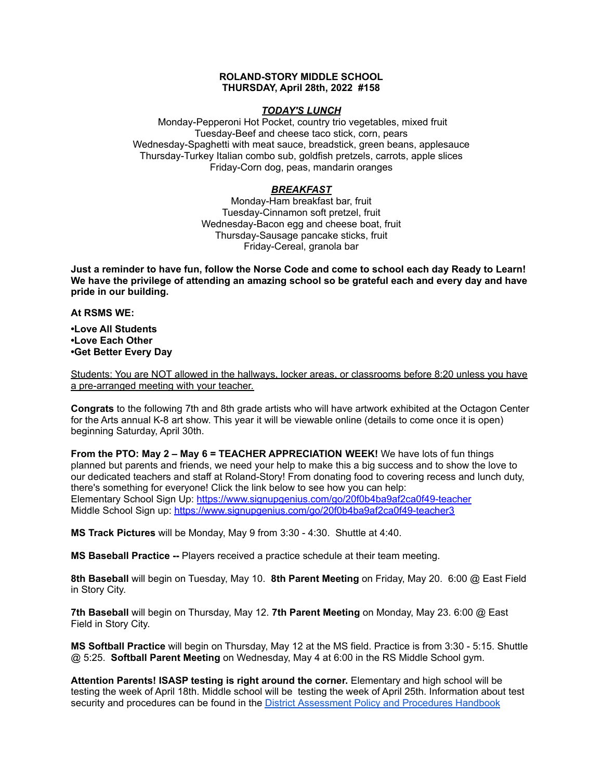# **ROLAND-STORY MIDDLE SCHOOL THURSDAY, April 28th, 2022 #158**

## *TODAY'S LUNCH*

Monday-Pepperoni Hot Pocket, country trio vegetables, mixed fruit Tuesday-Beef and cheese taco stick, corn, pears Wednesday-Spaghetti with meat sauce, breadstick, green beans, applesauce Thursday-Turkey Italian combo sub, goldfish pretzels, carrots, apple slices Friday-Corn dog, peas, mandarin oranges

# *BREAKFAST*

Monday-Ham breakfast bar, fruit Tuesday-Cinnamon soft pretzel, fruit Wednesday-Bacon egg and cheese boat, fruit Thursday-Sausage pancake sticks, fruit Friday-Cereal, granola bar

Just a reminder to have fun, follow the Norse Code and come to school each day Ready to Learn! **We have the privilege of attending an amazing school so be grateful each and every day and have pride in our building.**

#### **At RSMS WE:**

**•Love All Students •Love Each Other •Get Better Every Day**

Students: You are NOT allowed in the hallways, locker areas, or classrooms before 8:20 unless you have a pre-arranged meeting with your teacher.

**Congrats** to the following 7th and 8th grade artists who will have artwork exhibited at the Octagon Center for the Arts annual K-8 art show. This year it will be viewable online (details to come once it is open) beginning Saturday, April 30th.

**From the PTO: May 2 – May 6 = TEACHER APPRECIATION WEEK!** We have lots of fun things planned but parents and friends, we need your help to make this a big success and to show the love to our dedicated teachers and staff at Roland-Story! From donating food to covering recess and lunch duty, there's something for everyone! Click the link below to see how you can help: Elementary School Sign Up: <https://www.signupgenius.com/go/20f0b4ba9af2ca0f49-teacher> Middle School Sign up: <https://www.signupgenius.com/go/20f0b4ba9af2ca0f49-teacher3>

**MS Track Pictures** will be Monday, May 9 from 3:30 - 4:30. Shuttle at 4:40.

**MS Baseball Practice --** Players received a practice schedule at their team meeting.

**8th Baseball** will begin on Tuesday, May 10. **8th Parent Meeting** on Friday, May 20. 6:00 @ East Field in Story City.

**7th Baseball** will begin on Thursday, May 12. **7th Parent Meeting** on Monday, May 23. 6:00 @ East Field in Story City.

**MS Softball Practice** will begin on Thursday, May 12 at the MS field. Practice is from 3:30 - 5:15. Shuttle @ 5:25. **Softball Parent Meeting** on Wednesday, May 4 at 6:00 in the RS Middle School gym.

**Attention Parents! ISASP testing is right around the corner.** Elementary and high school will be testing the week of April 18th. Middle school will be testing the week of April 25th. Information about test security and procedures can be found in the District [Assessment](https://rolandstory.school/media/Michelle%20Soderstrum/RSCSD_District_Assessment_Poli%20-%20Copy%203.pdf) Policy and Procedures Handbook